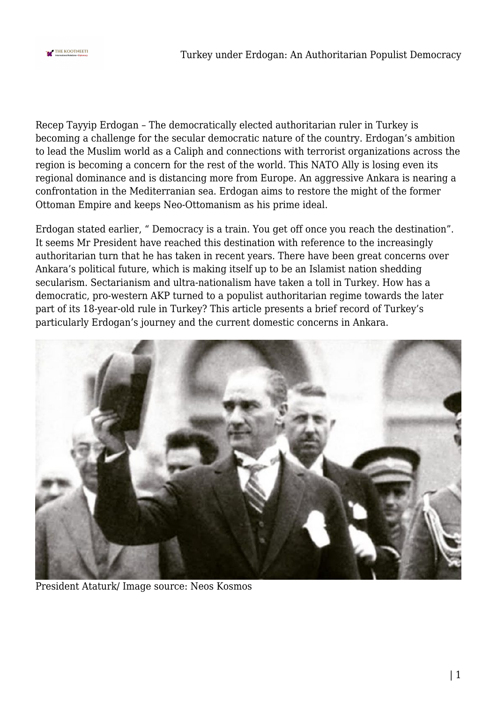

Recep Tayyip Erdogan – The democratically elected authoritarian ruler in Turkey is becoming a challenge for the secular democratic nature of the country. Erdogan's ambition to lead the Muslim world as a Caliph and connections with terrorist organizations across the region is becoming a concern for the rest of the world. This NATO Ally is losing even its regional dominance and is distancing more from Europe. An aggressive Ankara is nearing a confrontation in the Mediterranian sea. Erdogan aims to restore the might of the former Ottoman Empire and keeps Neo-Ottomanism as his prime ideal.

Erdogan stated earlier, " Democracy is a train. You get off once you reach the destination". It seems Mr President have reached this destination with reference to the increasingly authoritarian turn that he has taken in recent years. There have been great concerns over Ankara's political future, which is making itself up to be an Islamist nation shedding secularism. Sectarianism and ultra-nationalism have taken a toll in Turkey. How has a democratic, pro-western AKP turned to a populist authoritarian regime towards the later part of its 18-year-old rule in Turkey? This article presents a brief record of Turkey's particularly Erdogan's journey and the current domestic concerns in Ankara.



President Ataturk/ Image source: Neos Kosmos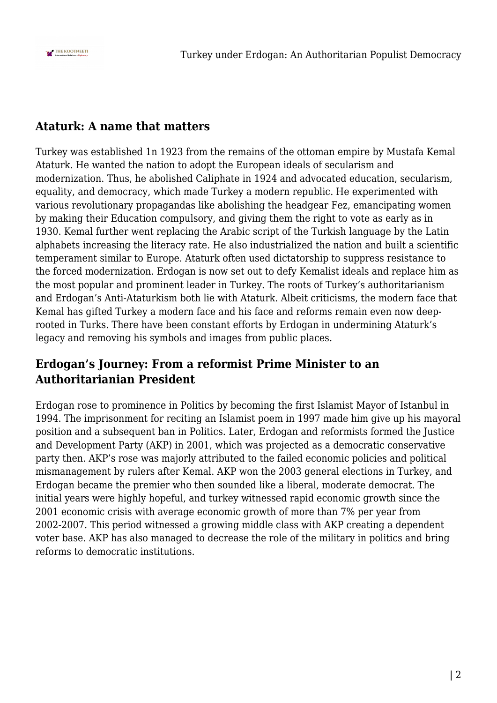

## **Ataturk: A name that matters**

Turkey was established 1n 1923 from the remains of the ottoman empire by Mustafa Kemal Ataturk. He wanted the nation to adopt the European ideals of secularism and modernization. Thus, he abolished Caliphate in 1924 and advocated education, secularism, equality, and democracy, which made Turkey a modern republic. He experimented with various revolutionary propagandas like abolishing the headgear Fez, emancipating women by making their Education compulsory, and giving them the right to vote as early as in 1930. Kemal further went replacing the Arabic script of the Turkish language by the Latin alphabets increasing the literacy rate. He also industrialized the nation and built a scientific temperament similar to Europe. Ataturk often used dictatorship to suppress resistance to the forced modernization. Erdogan is now set out to defy Kemalist ideals and replace him as the most popular and prominent leader in Turkey. The roots of Turkey's authoritarianism and Erdogan's Anti-Ataturkism both lie with Ataturk. Albeit criticisms, the modern face that Kemal has gifted Turkey a modern face and his face and reforms remain even now deeprooted in Turks. There have been constant efforts by Erdogan in undermining Ataturk's legacy and removing his symbols and images from public places.

## **Erdogan's Journey: From a reformist Prime Minister to an Authoritarianian President**

Erdogan rose to prominence in Politics by becoming the first Islamist Mayor of Istanbul in 1994. The imprisonment for reciting an Islamist poem in 1997 made him give up his mayoral position and a subsequent ban in Politics. Later, Erdogan and reformists formed the Justice and Development Party (AKP) in 2001, which was projected as a democratic conservative party then. AKP's rose was majorly attributed to the failed economic policies and political mismanagement by rulers after Kemal. AKP won the 2003 general elections in Turkey, and Erdogan became the premier who then sounded like a liberal, moderate democrat. The initial years were highly hopeful, and turkey witnessed rapid economic growth since the 2001 economic crisis with average economic growth of more than 7% per year from 2002-2007. This period witnessed a growing middle class with AKP creating a dependent voter base. AKP has also managed to decrease the role of the military in politics and bring reforms to democratic institutions.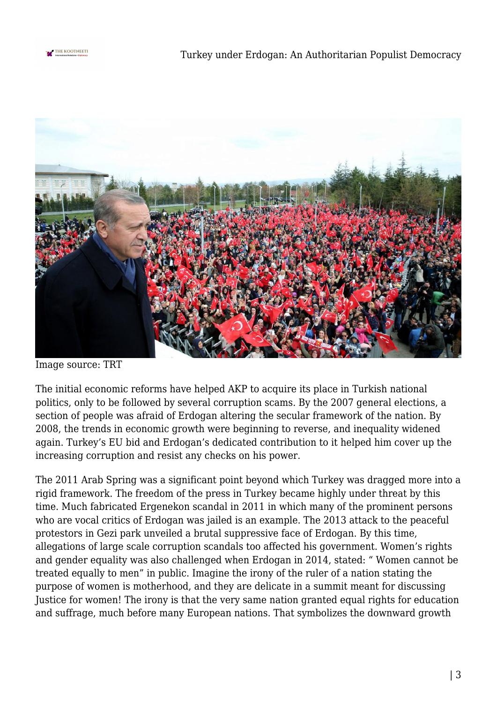



Image source: TRT

The initial economic reforms have helped AKP to acquire its place in Turkish national politics, only to be followed by several corruption scams. By the 2007 general elections, a section of people was afraid of Erdogan altering the secular framework of the nation. By 2008, the trends in economic growth were beginning to reverse, and inequality widened again. Turkey's EU bid and Erdogan's dedicated contribution to it helped him cover up the increasing corruption and resist any checks on his power.

The 2011 Arab Spring was a significant point beyond which Turkey was dragged more into a rigid framework. The freedom of the press in Turkey became highly under threat by this time. Much fabricated Ergenekon scandal in 2011 in which many of the prominent persons who are vocal critics of Erdogan was jailed is an example. The 2013 attack to the peaceful protestors in Gezi park unveiled a brutal suppressive face of Erdogan. By this time, allegations of large scale corruption scandals too affected his government. Women's rights and gender equality was also challenged when Erdogan in 2014, stated: " Women cannot be treated equally to men" in public. Imagine the irony of the ruler of a nation stating the purpose of women is motherhood, and they are delicate in a summit meant for discussing Justice for women! The irony is that the very same nation granted equal rights for education and suffrage, much before many European nations. That symbolizes the downward growth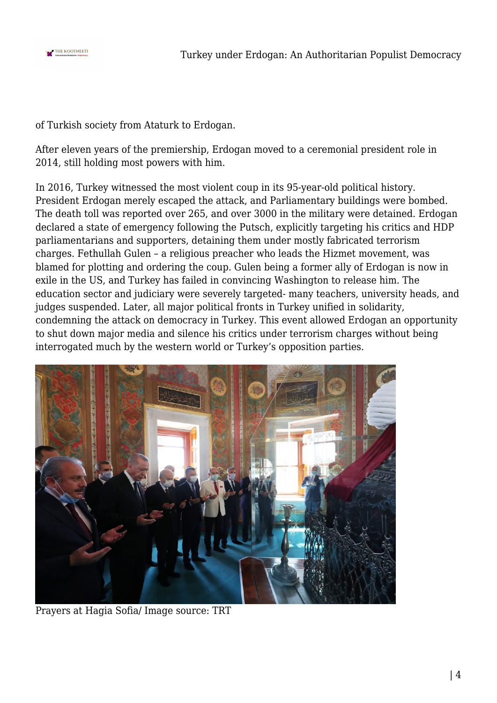

of Turkish society from Ataturk to Erdogan.

After eleven years of the premiership, Erdogan moved to a ceremonial president role in 2014, still holding most powers with him.

In 2016, Turkey witnessed the most violent coup in its 95-year-old political history. President Erdogan merely escaped the attack, and Parliamentary buildings were bombed. The death toll was reported over 265, and over 3000 in the military were detained. Erdogan declared a state of emergency following the Putsch, explicitly targeting his critics and HDP parliamentarians and supporters, detaining them under mostly fabricated terrorism charges. Fethullah Gulen – a religious preacher who leads the Hizmet movement, was blamed for plotting and ordering the coup. Gulen being a former ally of Erdogan is now in exile in the US, and Turkey has failed in convincing Washington to release him. The education sector and judiciary were severely targeted- many teachers, university heads, and judges suspended. Later, all major political fronts in Turkey unified in solidarity, condemning the attack on democracy in Turkey. This event allowed Erdogan an opportunity to shut down major media and silence his critics under terrorism charges without being interrogated much by the western world or Turkey's opposition parties.



Prayers at Hagia Sofia/ Image source: TRT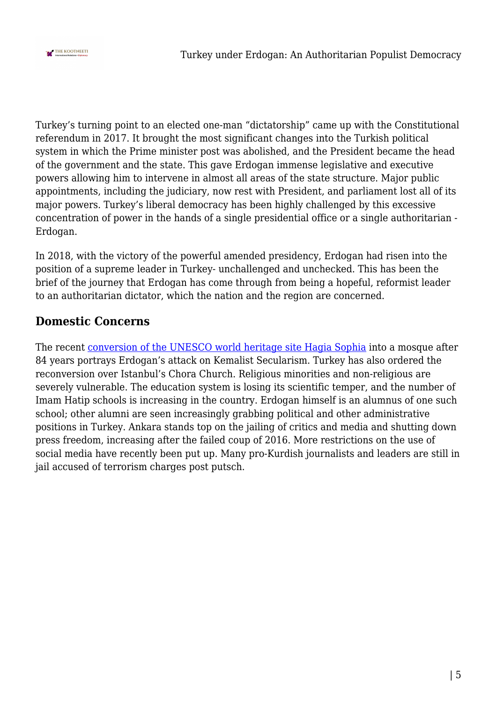

Turkey's turning point to an elected one-man "dictatorship" came up with the Constitutional referendum in 2017. It brought the most significant changes into the Turkish political system in which the Prime minister post was abolished, and the President became the head of the government and the state. This gave Erdogan immense legislative and executive powers allowing him to intervene in almost all areas of the state structure. Major public appointments, including the judiciary, now rest with President, and parliament lost all of its major powers. Turkey's liberal democracy has been highly challenged by this excessive concentration of power in the hands of a single presidential office or a single authoritarian - Erdogan.

In 2018, with the victory of the powerful amended presidency, Erdogan had risen into the position of a supreme leader in Turkey- unchallenged and unchecked. This has been the brief of the journey that Erdogan has come through from being a hopeful, reformist leader to an authoritarian dictator, which the nation and the region are concerned.

## **Domestic Concerns**

The recent [conversion of the UNESCO world heritage site Hagia Sophia](https://thekootneeti.in/2020/07/17/hagia-sophia-mixed-bag-of-compliments-complications-for-turkey/) into a mosque after 84 years portrays Erdogan's attack on Kemalist Secularism. Turkey has also ordered the reconversion over Istanbul's Chora Church. Religious minorities and non-religious are severely vulnerable. The education system is losing its scientific temper, and the number of Imam Hatip schools is increasing in the country. Erdogan himself is an alumnus of one such school; other alumni are seen increasingly grabbing political and other administrative positions in Turkey. Ankara stands top on the jailing of critics and media and shutting down press freedom, increasing after the failed coup of 2016. More restrictions on the use of social media have recently been put up. Many pro-Kurdish journalists and leaders are still in jail accused of terrorism charges post putsch.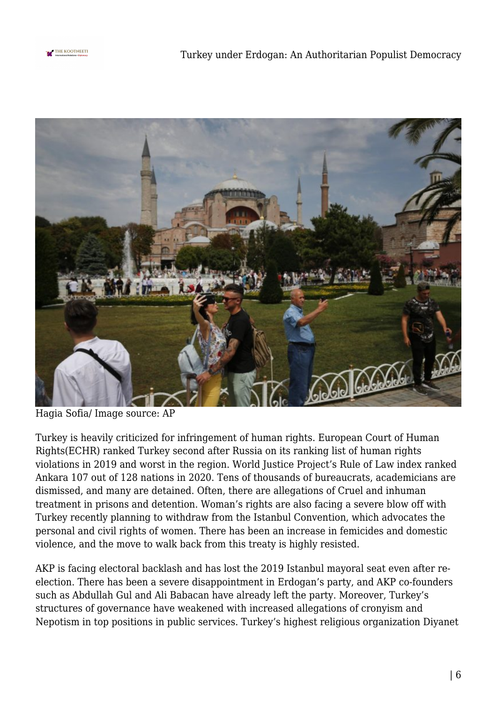



Hagia Sofia/ Image source: AP

Turkey is heavily criticized for infringement of human rights. European Court of Human Rights(ECHR) ranked Turkey second after Russia on its ranking list of human rights violations in 2019 and worst in the region. World Justice Project's Rule of Law index ranked Ankara 107 out of 128 nations in 2020. Tens of thousands of bureaucrats, academicians are dismissed, and many are detained. Often, there are allegations of Cruel and inhuman treatment in prisons and detention. Woman's rights are also facing a severe blow off with Turkey recently planning to withdraw from the Istanbul Convention, which advocates the personal and civil rights of women. There has been an increase in femicides and domestic violence, and the move to walk back from this treaty is highly resisted.

AKP is facing electoral backlash and has lost the 2019 Istanbul mayoral seat even after reelection. There has been a severe disappointment in Erdogan's party, and AKP co-founders such as Abdullah Gul and Ali Babacan have already left the party. Moreover, Turkey's structures of governance have weakened with increased allegations of cronyism and Nepotism in top positions in public services. Turkey's highest religious organization Diyanet